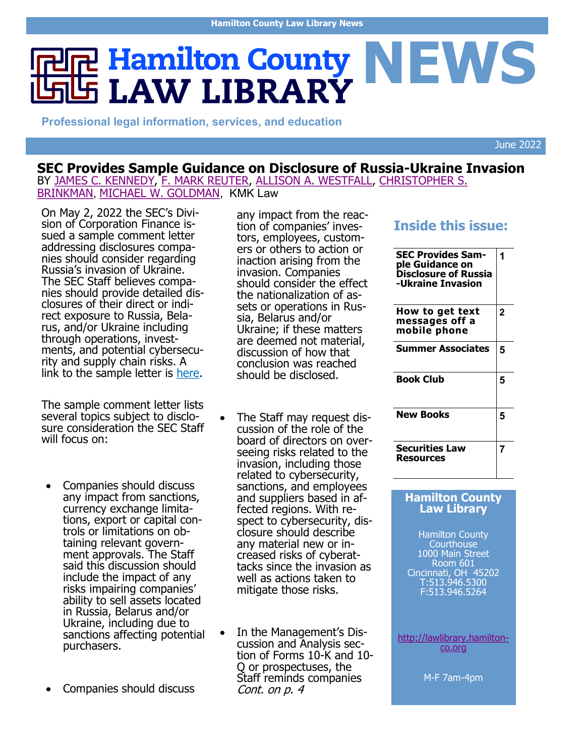# **R** Hamilton County NEWS **LAW LIBRARY**

**Professional legal information, services, and education**

June 2022

### **SEC Provides Sample Guidance on Disclosure of Russia-Ukraine Invasion**

BY [JAMES C. KENNEDY,](https://www.kmklaw.com/corporate-securities/author/Jim_Kennedy) [F. MARK REUTER,](https://www.kmklaw.com/corporate-securities/author/Mark_Reuter) [ALLISON A. WESTFALL,](https://www.kmklaw.com/corporate-securities/author/Allie_Westfall) [CHRISTOPHER S.](https://www.kmklaw.com/corporate-securities/author/Chris_Brinkman)  [BRINKMAN](https://www.kmklaw.com/corporate-securities/author/Chris_Brinkman), [MICHAEL W. GOLDMAN](https://www.kmklaw.com/corporate-securities/author/Michael_Goldman), KMK Law

On May 2, 2022 the SEC's Division of Corporation Finance issued a sample comment letter addressing disclosures companies should consider regarding Russia's invasion of Ukraine. The SEC Staff believes companies should provide detailed disclosures of their direct or indirect exposure to Russia, Belarus, and/or Ukraine including through operations, investments, and potential cybersecurity and supply chain risks. A link to the sample letter is [here.](https://www.sec.gov/corpfin/sample-letter-companies-pertaining-to-ukraine)

The sample comment letter lists several topics subject to disclosure consideration the SEC Staff will focus on:

- Companies should discuss any impact from sanctions, currency exchange limitations, export or capital controls or limitations on obtaining relevant government approvals. The Staff said this discussion should include the impact of any risks impairing companies' ability to sell assets located in Russia, Belarus and/or Ukraine, including due to sanctions affecting potential purchasers.
- Companies should discuss

any impact from the reaction of companies' investors, employees, customers or others to action or inaction arising from the invasion. Companies should consider the effect the nationalization of assets or operations in Russia, Belarus and/or Ukraine; if these matters are deemed not material, discussion of how that conclusion was reached should be disclosed.

- The Staff may request discussion of the role of the board of directors on overseeing risks related to the invasion, including those related to cybersecurity, sanctions, and employees and suppliers based in affected regions. With respect to cybersecurity, disclosure should describe any material new or increased risks of cyberattacks since the invasion as well as actions taken to mitigate those risks.
- In the Management's Discussion and Analysis section of Forms 10-K and 10- Q or prospectuses, the Staff reminds companies Cont. on p. 4

### **Inside this issue:**

| <b>SEC Provides Sam-</b><br>ple Guidance on<br><b>Disclosure of Russia</b><br>-Ukraine Invasion | 1 |
|-------------------------------------------------------------------------------------------------|---|
| How to get text<br>messages off a<br>mobile phone                                               | 2 |
| <b>Summer Associates</b>                                                                        | 5 |
| <b>Book Club</b>                                                                                | 5 |
| <b>New Books</b>                                                                                | 5 |
| <b>Securities Law</b><br><b>Resources</b>                                                       | 7 |

#### **Hamilton County Law Library**

Hamilton County **Courthouse** 1000 Main Street Room 601 Cincinnati, OH 45202 T:513.946.5300 F:513.946.5264

[http://lawlibrary.hamilton](http://lawlibrary.hamilton-co.org)[co.org](http://lawlibrary.hamilton-co.org)

M-F 7am-4pm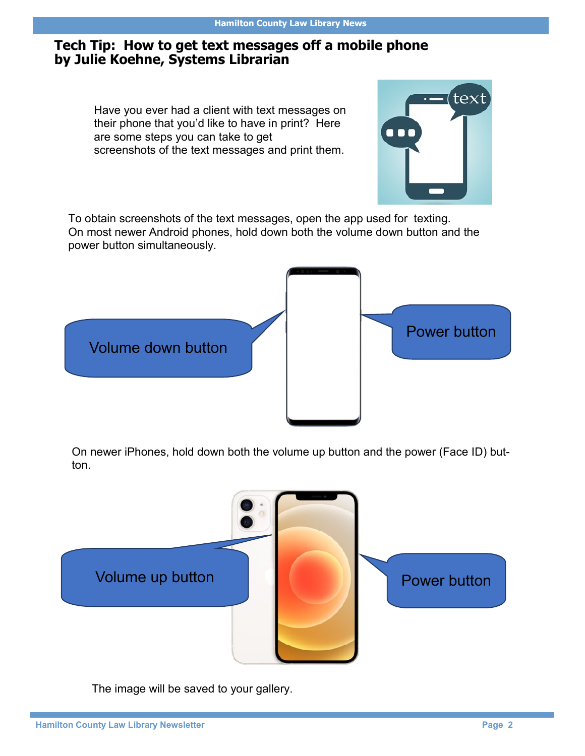### **Tech Tip: How to get text messages off a mobile phone by Julie Koehne, Systems Librarian**

Have you ever had a client with text messages on their phone that you'd like to have in print? Here are some steps you can take to get screenshots of the text messages and print them.



To obtain screenshots of the text messages, open the app used for texting. On most newer Android phones, hold down both the volume down button and the power button simultaneously.



On newer iPhones, hold down both the volume up button and the power (Face ID) button.



The image will be saved to your gallery.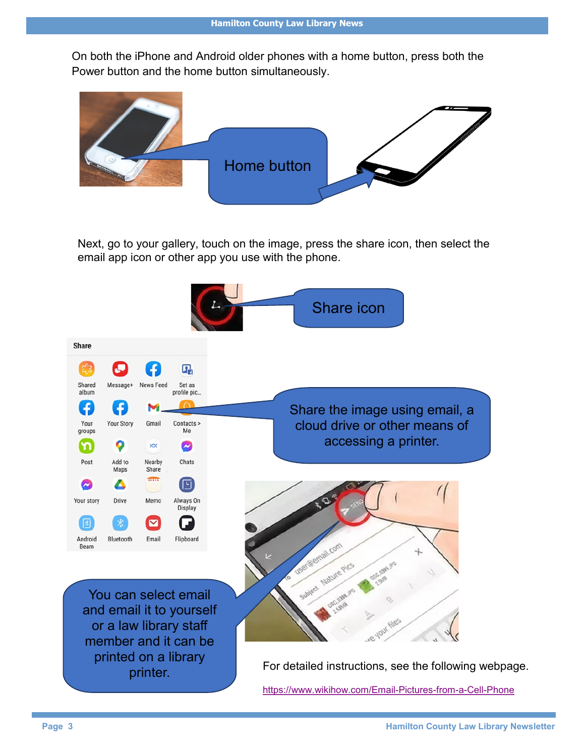On both the iPhone and Android older phones with a home button, press both the Power button and the home button simultaneously.



Next, go to your gallery, touch on the image, press the share icon, then select the email app icon or other app you use with the phone.

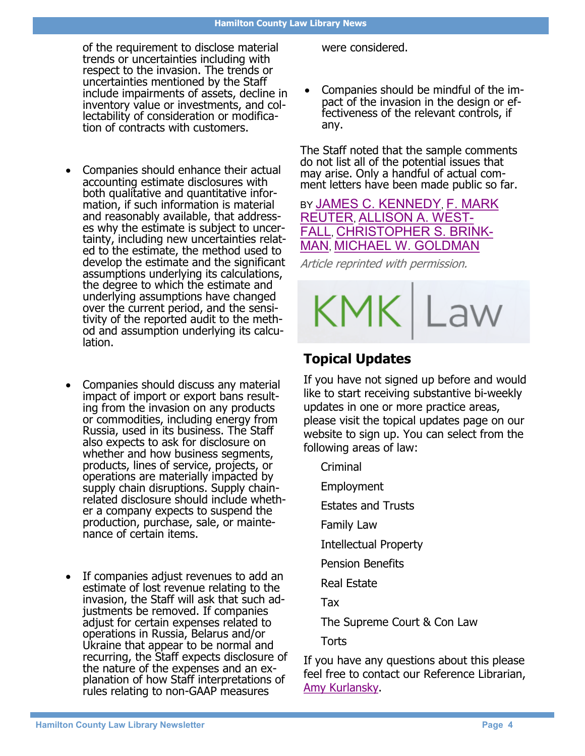of the requirement to disclose material trends or uncertainties including with respect to the invasion. The trends or uncertainties mentioned by the Staff include impairments of assets, decline in inventory value or investments, and collectability of consideration or modification of contracts with customers.

- Companies should enhance their actual accounting estimate disclosures with both qualitative and quantitative information, if such information is material and reasonably available, that addresses why the estimate is subject to uncertainty, including new uncertainties related to the estimate, the method used to develop the estimate and the significant assumptions underlying its calculations, the degree to which the estimate and underlying assumptions have changed over the current period, and the sensitivity of the reported audit to the method and assumption underlying its calculation.
- Companies should discuss any material impact of import or export bans resulting from the invasion on any products or commodities, including energy from Russia, used in its business. The Staff also expects to ask for disclosure on whether and how business segments, products, lines of service, projects, or operations are materially impacted by supply chain disruptions. Supply chainrelated disclosure should include whether a company expects to suspend the production, purchase, sale, or maintenance of certain items.
- If companies adjust revenues to add an estimate of lost revenue relating to the invasion, the Staff will ask that such adjustments be removed. If companies adjust for certain expenses related to operations in Russia, Belarus and/or Ukraine that appear to be normal and recurring, the Staff expects disclosure of the nature of the expenses and an explanation of how Staff interpretations of rules relating to non-GAAP measures

were considered.

 Companies should be mindful of the impact of the invasion in the design or effectiveness of the relevant controls, if any.

The Staff noted that the sample comments do not list all of the potential issues that may arise. Only a handful of actual comment letters have been made public so far.

### BY [JAMES C. KENNEDY](https://www.kmklaw.com/corporate-securities/author/Jim_Kennedy), [F. MARK](https://www.kmklaw.com/corporate-securities/author/Mark_Reuter)  [REUTER](https://www.kmklaw.com/corporate-securities/author/Mark_Reuter), [ALLISON A. WEST-](https://www.kmklaw.com/corporate-securities/author/Allie_Westfall)[FALL](https://www.kmklaw.com/corporate-securities/author/Allie_Westfall), [CHRISTOPHER S. BRINK-](https://www.kmklaw.com/corporate-securities/author/Chris_Brinkman)[MAN](https://www.kmklaw.com/corporate-securities/author/Chris_Brinkman), [MICHAEL W. GOLDMAN](https://www.kmklaw.com/corporate-securities/author/Michael_Goldman)

Article reprinted with permission.



### **Topical Updates**

If you have not signed up before and would like to start receiving substantive bi-weekly updates in one or more practice areas, please visit the topical updates page on our website to sign up. You can select from the following areas of law:

Criminal

Employment

Estates and Trusts

Family Law

Intellectual Property

Pension Benefits

Real Estate

Tax

The Supreme Court & Con Law

**Torts** 

If you have any questions about this please feel free to contact our Reference Librarian, [Amy Kurlansky.](mailto:akurlansky@cms.hamilton-co.org)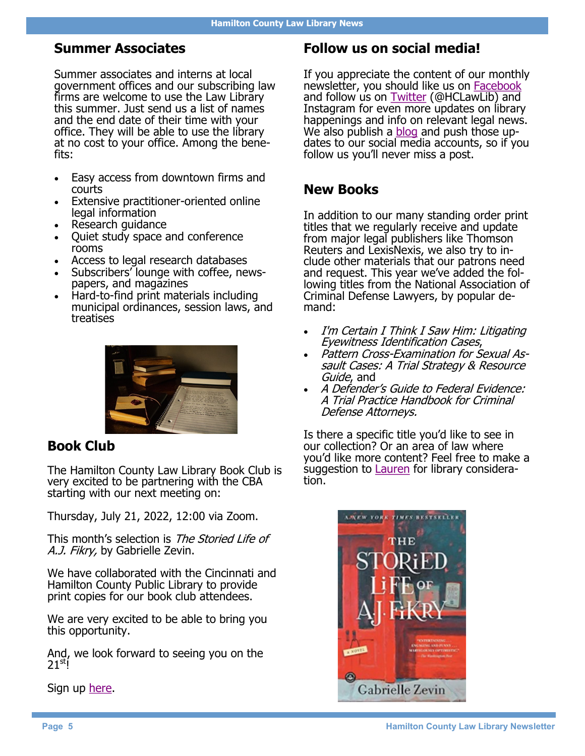### **Summer Associates**

Summer associates and interns at local government offices and our subscribing law firms are welcome to use the Law Library this summer. Just send us a list of names and the end date of their time with your office. They will be able to use the library at no cost to your office. Among the benefits:

- Easy access from downtown firms and courts
- Extensive practitioner-oriented online legal information
- Research guidance
- Ouiet study space and conference rooms
- Access to legal research databases
- Subscribers' lounge with coffee, newspapers, and magazines
- Hard-to-find print materials including municipal ordinances, session laws, and treatises



### **Book Club**

The Hamilton County Law Library Book Club is very excited to be partnering with the CBA starting with our next meeting on:

Thursday, July 21, 2022, 12:00 via Zoom.

This month's selection is The Storied Life of A.J. Fikry, by Gabrielle Zevin.

We have collaborated with the Cincinnati and Hamilton County Public Library to provide print copies for our book club attendees.

We are very excited to be able to bring you this opportunity.

And, we look forward to seeing you on the  $21<sup>st</sup>$ !

Sign up [here.](https://lawlibrary.hamiltoncountyohio.gov/events/hcll-book-club-meeting-3/)

### **Follow us on social media!**

If you appreciate the content of our monthly newsletter, you should like us on **Facebook** and follow us on [Twitter](https://twitter.com/HCLawLib) (@HCLawLib) and Instagram for even more updates on library happenings and info on relevant legal news. We also publish a [blog](https://lawlibrary.hamiltoncountyohio.gov/category/blog/) and push those updates to our social media accounts, so if you follow us you'll never miss a post.

### **New Books**

In addition to our many standing order print titles that we regularly receive and update from major legal publishers like Thomson Reuters and LexisNexis, we also try to include other materials that our patrons need and request. This year we've added the following titles from the National Association of Criminal Defense Lawyers, by popular demand:

- I'm Certain I Think I Saw Him: Litigating Eyewitness Identification Cases,
- Pattern Cross-Examination for Sexual Assault Cases: A Trial Strategy & Resource Guide, and
- A Defender's Guide to Federal Evidence: A Trial Practice Handbook for Criminal Defense Attorneys.

Is there a specific title you'd like to see in our collection? Or an area of law where you'd like more content? Feel free to make a suggestion to [Lauren](mailto:lmorrison@cms.hamilton-co.org) for library consideration.

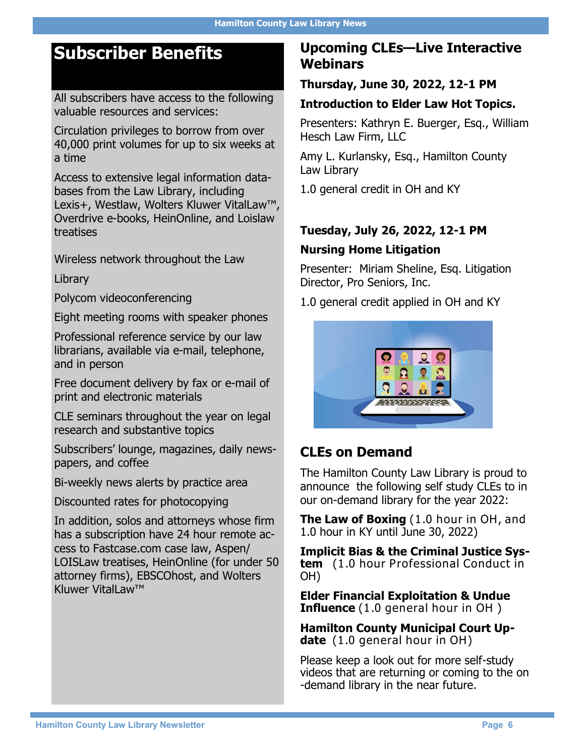### **Subscriber Benefits**

All subscribers have access to the following valuable resources and services:

Circulation privileges to borrow from over 40,000 print volumes for up to six weeks at a time

Access to extensive legal information databases from the Law Library, including Lexis+, Westlaw, Wolters Kluwer VitalLaw™, Overdrive e-books, HeinOnline, and Loislaw treatises

Wireless network throughout the Law

Library

Polycom videoconferencing

Eight meeting rooms with speaker phones

Professional reference service by our law librarians, available via e-mail, telephone, and in person

Free document delivery by fax or e-mail of print and electronic materials

CLE seminars throughout the year on legal research and substantive topics

Subscribers' lounge, magazines, daily newspapers, and coffee

Bi-weekly news alerts by practice area

Discounted rates for photocopying

In addition, solos and attorneys whose firm has a subscription have 24 hour remote access to Fastcase.com case law, Aspen/ LOISLaw treatises, HeinOnline (for under 50 attorney firms), EBSCOhost, and Wolters Kluwer VitalLaw™

### **Upcoming CLEs—Live Interactive Webinars**

#### **Thursday, June 30, 2022, 12-1 PM**

### **Introduction to Elder Law Hot Topics.**

Presenters: Kathryn E. Buerger, Esq., William Hesch Law Firm, LLC

Amy L. Kurlansky, Esq., Hamilton County Law Library

1.0 general credit in OH and KY

### **Tuesday, July 26, 2022, 12-1 PM**

#### **Nursing Home Litigation**

Presenter: Miriam Sheline, Esq. Litigation Director, Pro Seniors, Inc.

1.0 general credit applied in OH and KY



### **CLEs on Demand**

The Hamilton County Law Library is proud to announce the following self study CLEs to in our on-demand library for the year 2022:

**The Law of Boxing** (1.0 hour in OH, and 1.0 hour in KY until June 30, 2022)

**Implicit Bias & the Criminal Justice System** (1.0 hour Professional Conduct in OH)

**Elder Financial Exploitation & Undue Influence** (1.0 general hour in OH )

**Hamilton County Municipal Court Update** (1.0 general hour in OH)

Please keep a look out for more self-study videos that are returning or coming to the on -demand library in the near future.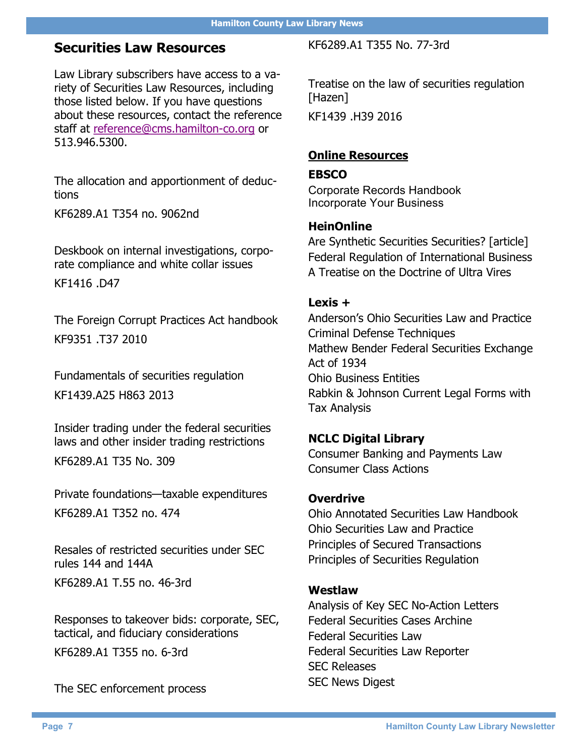### **Securities Law Resources**

Law Library subscribers have access to a variety of Securities Law Resources, including those listed below. If you have questions about these resources, contact the reference staff at [reference@cms.hamilton](mailto:reference@cms.hamilton-co.org)-co.org or 513.946.5300.

The allocation and apportionment of deductions

KF6289.A1 T354 no. 9062nd

Deskbook on internal investigations, corporate compliance and white collar issues

KF1416 .D47

The Foreign Corrupt Practices Act handbook KF9351 .T37 2010

Fundamentals of securities regulation

KF1439.A25 H863 2013

Insider trading under the federal securities laws and other insider trading restrictions

KF6289.A1 T35 No. 309

Private foundations—taxable expenditures KF6289.A1 T352 no. 474

Resales of restricted securities under SEC rules 144 and 144A KF6289.A1 T.55 no. 46-3rd

Responses to takeover bids: corporate, SEC, tactical, and fiduciary considerations KF6289.A1 T355 no. 6-3rd

The SEC enforcement process

KF6289.A1 T355 No. 77-3rd

Treatise on the law of securities regulation [Hazen]

KF1439 .H39 2016

#### **Online Resources**

#### **EBSCO**

Corporate Records Handbook Incorporate Your Business

#### **HeinOnline**

Are Synthetic Securities Securities? [article] Federal Regulation of International Business A Treatise on the Doctrine of Ultra Vires

#### **Lexis +**

Anderson's Ohio Securities Law and Practice Criminal Defense Techniques Mathew Bender Federal Securities Exchange Act of 1934 Ohio Business Entities Rabkin & Johnson Current Legal Forms with Tax Analysis

#### **NCLC Digital Library**

Consumer Banking and Payments Law Consumer Class Actions

#### **Overdrive**

Ohio Annotated Securities Law Handbook Ohio Securities Law and Practice Principles of Secured Transactions Principles of Securities Regulation

#### **Westlaw**

Analysis of Key SEC No-Action Letters Federal Securities Cases Archine Federal Securities Law Federal Securities Law Reporter SEC Releases SEC News Digest